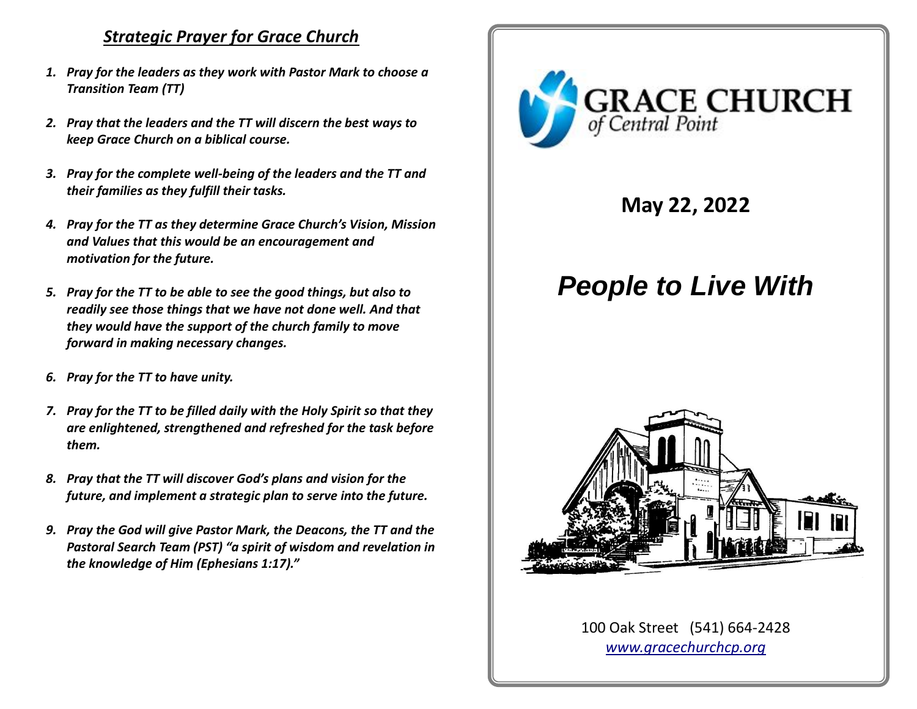### *Strategic Prayer for Grace Church*

- *1. Pray for the leaders as they work with Pastor Mark to choose a Transition Team (TT)*
- *2. Pray that the leaders and the TT will discern the best ways to keep Grace Church on a biblical course.*
- *3. Pray for the complete well-being of the leaders and the TT and their families as they fulfill their tasks.*
- *4. Pray for the TT as they determine Grace Church's Vision, Mission and Values that this would be an encouragement and motivation for the future.*
- *5. Pray for the TT to be able to see the good things, but also to readily see those things that we have not done well. And that they would have the support of the church family to move forward in making necessary changes.*
- *6. Pray for the TT to have unity.*
- *7. Pray for the TT to be filled daily with the Holy Spirit so that they are enlightened, strengthened and refreshed for the task before them.*
- *8. Pray that the TT will discover God's plans and vision for the future, and implement a strategic plan to serve into the future.*
- *9. Pray the God will give Pastor Mark, the Deacons, the TT and the Pastoral Search Team (PST) "a spirit of wisdom and revelation in the knowledge of Him (Ephesians 1:17)."*



# **May 22, 2022**

# *People to Live With*



100 Oak Street (541) 664-2428 *[www.gracechurchcp.org](http://www.gracechurchcp.org/)*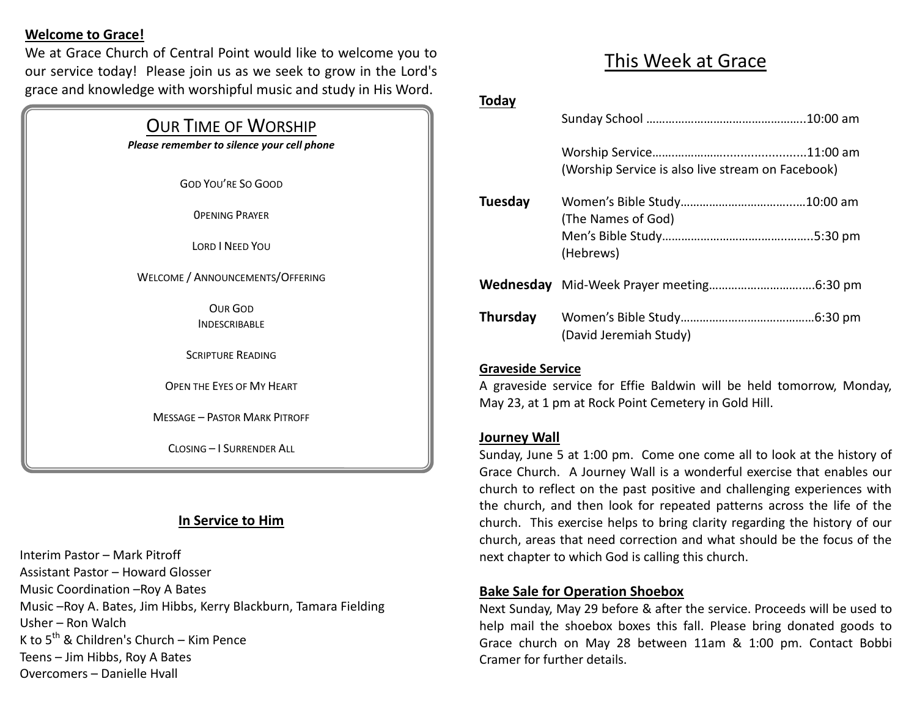#### **Welcome to Grace!**

We at Grace Church of Central Point would like to welcome you to our service today! Please join us as we seek to grow in the Lord's grace and knowledge with worshipful music and study in His Word.

| <b>OUR TIME OF WORSHIP</b><br>Please remember to silence your cell phone |
|--------------------------------------------------------------------------|
| <b>GOD YOU'RE SO GOOD</b>                                                |
| <b>OPENING PRAYER</b>                                                    |
| <b>LORD I NEED YOU</b>                                                   |
| WELCOME / ANNOUNCEMENTS/OFFERING                                         |
| <b>OUR GOD</b><br><b>INDESCRIBABLE</b>                                   |
| <b>SCRIPTURE READING</b>                                                 |
| <b>OPEN THE EYES OF MY HEART</b>                                         |
| <b>MESSAGE - PASTOR MARK PITROFF</b>                                     |
| CLOSING - I SURRENDER ALL                                                |

#### **In Service to Him**

Interim Pastor – Mark Pitroff Assistant Pastor – Howard Glosser Music Coordination –Roy A Bates Music –Roy A. Bates, Jim Hibbs, Kerry Blackburn, Tamara Fielding Usher – Ron Walch K to  $5^{th}$  & Children's Church – Kim Pence Teens – Jim Hibbs, Roy A Bates Overcomers – Danielle Hvall

## This Week at Grace

#### **Today**

|          | (Worship Service is also live stream on Facebook) |
|----------|---------------------------------------------------|
| Tuesday  | (The Names of God)<br>(Hebrews)                   |
|          |                                                   |
| Thursday | (David Jeremiah Study)                            |

#### **Graveside Service**

A graveside service for Effie Baldwin will be held tomorrow, Monday, May 23, at 1 pm at Rock Point Cemetery in Gold Hill.

#### **Journey Wall**

Sunday, June 5 at 1:00 pm. Come one come all to look at the history of Grace Church. A Journey Wall is a wonderful exercise that enables our church to reflect on the past positive and challenging experiences with the church, and then look for repeated patterns across the life of the church. This exercise helps to bring clarity regarding the history of our church, areas that need correction and what should be the focus of the next chapter to which God is calling this church.

#### **Bake Sale for Operation Shoebox**

Next Sunday, May 29 before & after the service. Proceeds will be used to help mail the shoebox boxes this fall. Please bring donated goods to Grace church on May 28 between 11am & 1:00 pm. Contact Bobbi Cramer for further details.